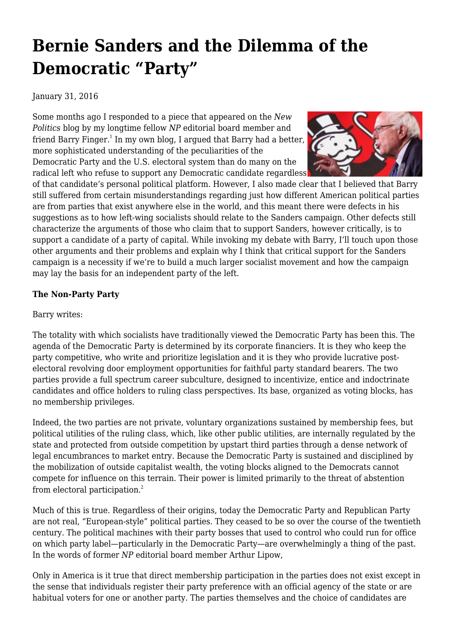# **[Bernie Sanders and the Dilemma of the](https://newpol.org/issue_post/bernie-sanders-and-dilemma-democratic-party/) [Democratic "Party"](https://newpol.org/issue_post/bernie-sanders-and-dilemma-democratic-party/)**

January 31, 2016

Some months ago I responded to a piece that appeared on the *New Politics* blog by my longtime fellow *NP* editorial board member and friend Barry Finger.<sup>1</sup> In my own blog, I argued that Barry had a better, more sophisticated understanding of the peculiarities of the Democratic Party and the U.S. electoral system than do many on the radical left who refuse to support any Democratic candidate regardless



of that candidate's personal political platform. However, I also made clear that I believed that Barry still suffered from certain misunderstandings regarding just how different American political parties are from parties that exist anywhere else in the world, and this meant there were defects in his suggestions as to how left-wing socialists should relate to the Sanders campaign. Other defects still characterize the arguments of those who claim that to support Sanders, however critically, is to support a candidate of a party of capital. While invoking my debate with Barry, I'll touch upon those other arguments and their problems and explain why I think that critical support for the Sanders campaign is a necessity if we're to build a much larger socialist movement and how the campaign may lay the basis for an independent party of the left.

## **The Non-Party Party**

#### Barry writes:

The totality with which socialists have traditionally viewed the Democratic Party has been this. The agenda of the Democratic Party is determined by its corporate financiers. It is they who keep the party competitive, who write and prioritize legislation and it is they who provide lucrative postelectoral revolving door employment opportunities for faithful party standard bearers. The two parties provide a full spectrum career subculture, designed to incentivize, entice and indoctrinate candidates and office holders to ruling class perspectives. Its base, organized as voting blocks, has no membership privileges.

Indeed, the two parties are not private, voluntary organizations sustained by membership fees, but political utilities of the ruling class, which, like other public utilities, are internally regulated by the state and protected from outside competition by upstart third parties through a dense network of legal encumbrances to market entry. Because the Democratic Party is sustained and disciplined by the mobilization of outside capitalist wealth, the voting blocks aligned to the Democrats cannot compete for influence on this terrain. Their power is limited primarily to the threat of abstention from electoral participation.<sup>2</sup>

Much of this is true. Regardless of their origins, today the Democratic Party and Republican Party are not real, "European-style" political parties. They ceased to be so over the course of the twentieth century. The political machines with their party bosses that used to control who could run for office on which party label—particularly in the Democratic Party—are overwhelmingly a thing of the past. In the words of former *NP* editorial board member Arthur Lipow,

Only in America is it true that direct membership participation in the parties does not exist except in the sense that individuals register their party preference with an official agency of the state or are habitual voters for one or another party. The parties themselves and the choice of candidates are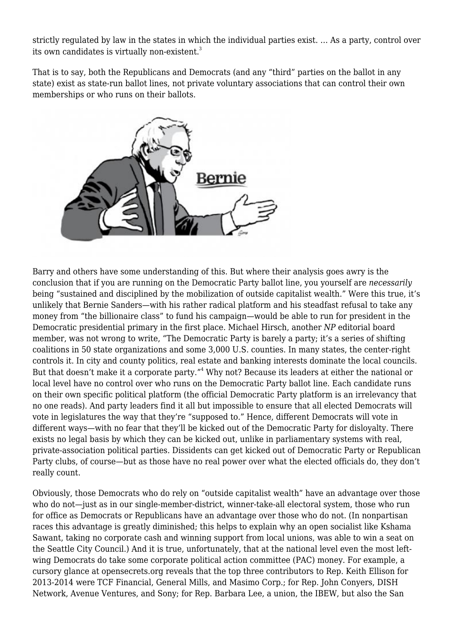strictly regulated by law in the states in which the individual parties exist. … As a party, control over its own candidates is virtually non-existent.<sup>3</sup>

That is to say, both the Republicans and Democrats (and any "third" parties on the ballot in any state) exist as state-run ballot lines, not private voluntary associations that can control their own memberships or who runs on their ballots.



Barry and others have some understanding of this. But where their analysis goes awry is the conclusion that if you are running on the Democratic Party ballot line, you yourself are *necessarily* being "sustained and disciplined by the mobilization of outside capitalist wealth." Were this true, it's unlikely that Bernie Sanders—with his rather radical platform and his steadfast refusal to take any money from "the billionaire class" to fund his campaign—would be able to run for president in the Democratic presidential primary in the first place. Michael Hirsch, another *NP* editorial board member, was not wrong to write, "The Democratic Party is barely a party; it's a series of shifting coalitions in 50 state organizations and some 3,000 U.S. counties. In many states, the center-right controls it. In city and county politics, real estate and banking interests dominate the local councils. But that doesn't make it a corporate party."<sup>4</sup> Why not? Because its leaders at either the national or local level have no control over who runs on the Democratic Party ballot line. Each candidate runs on their own specific political platform (the official Democratic Party platform is an irrelevancy that no one reads). And party leaders find it all but impossible to ensure that all elected Democrats will vote in legislatures the way that they're "supposed to." Hence, different Democrats will vote in different ways—with no fear that they'll be kicked out of the Democratic Party for disloyalty. There exists no legal basis by which they can be kicked out, unlike in parliamentary systems with real, private-association political parties. Dissidents can get kicked out of Democratic Party or Republican Party clubs, of course—but as those have no real power over what the elected officials do, they don't really count.

Obviously, those Democrats who do rely on "outside capitalist wealth" have an advantage over those who do not—just as in our single-member-district, winner-take-all electoral system, those who run for office as Democrats or Republicans have an advantage over those who do not. (In nonpartisan races this advantage is greatly diminished; this helps to explain why an open socialist like Kshama Sawant, taking no corporate cash and winning support from local unions, was able to win a seat on the Seattle City Council.) And it is true, unfortunately, that at the national level even the most leftwing Democrats do take some corporate political action committee (PAC) money. For example, a cursory glance at opensecrets.org reveals that the top three contributors to Rep. Keith Ellison for 2013-2014 were TCF Financial, General Mills, and Masimo Corp.; for Rep. John Conyers, DISH Network, Avenue Ventures, and Sony; for Rep. Barbara Lee, a union, the IBEW, but also the San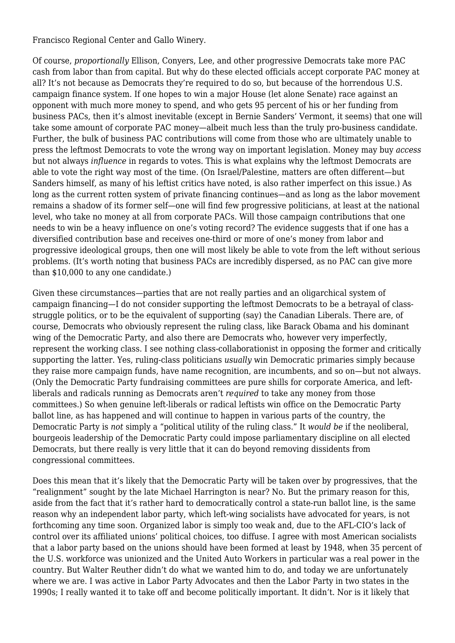Francisco Regional Center and Gallo Winery.

Of course, *proportionally* Ellison, Conyers, Lee, and other progressive Democrats take more PAC cash from labor than from capital. But why do these elected officials accept corporate PAC money at all? It's not because as Democrats they're required to do so, but because of the horrendous U.S. campaign finance system. If one hopes to win a major House (let alone Senate) race against an opponent with much more money to spend, and who gets 95 percent of his or her funding from business PACs, then it's almost inevitable (except in Bernie Sanders' Vermont, it seems) that one will take some amount of corporate PAC money—albeit much less than the truly pro-business candidate. Further, the bulk of business PAC contributions will come from those who are ultimately unable to press the leftmost Democrats to vote the wrong way on important legislation. Money may buy *access* but not always *influence* in regards to votes. This is what explains why the leftmost Democrats are able to vote the right way most of the time. (On Israel/Palestine, matters are often different—but Sanders himself, as many of his leftist critics have noted, is also rather imperfect on this issue.) As long as the current rotten system of private financing continues—and as long as the labor movement remains a shadow of its former self—one will find few progressive politicians, at least at the national level, who take no money at all from corporate PACs. Will those campaign contributions that one needs to win be a heavy influence on one's voting record? The evidence suggests that if one has a diversified contribution base and receives one-third or more of one's money from labor and progressive ideological groups, then one will most likely be able to vote from the left without serious problems. (It's worth noting that business PACs are incredibly dispersed, as no PAC can give more than \$10,000 to any one candidate.)

Given these circumstances—parties that are not really parties and an oligarchical system of campaign financing—I do not consider supporting the leftmost Democrats to be a betrayal of classstruggle politics, or to be the equivalent of supporting (say) the Canadian Liberals. There are, of course, Democrats who obviously represent the ruling class, like Barack Obama and his dominant wing of the Democratic Party, and also there are Democrats who, however very imperfectly, represent the working class. I see nothing class-collaborationist in opposing the former and critically supporting the latter. Yes, ruling-class politicians *usually* win Democratic primaries simply because they raise more campaign funds, have name recognition, are incumbents, and so on—but not always. (Only the Democratic Party fundraising committees are pure shills for corporate America, and leftliberals and radicals running as Democrats aren't *required* to take any money from those committees.) So when genuine left-liberals or radical leftists win office on the Democratic Party ballot line, as has happened and will continue to happen in various parts of the country, the Democratic Party is *not* simply a "political utility of the ruling class." It *would be* if the neoliberal, bourgeois leadership of the Democratic Party could impose parliamentary discipline on all elected Democrats, but there really is very little that it can do beyond removing dissidents from congressional committees.

Does this mean that it's likely that the Democratic Party will be taken over by progressives, that the "realignment" sought by the late Michael Harrington is near? No. But the primary reason for this, aside from the fact that it's rather hard to democratically control a state-run ballot line, is the same reason why an independent labor party, which left-wing socialists have advocated for years, is not forthcoming any time soon. Organized labor is simply too weak and, due to the AFL-CIO's lack of control over its affiliated unions' political choices, too diffuse. I agree with most American socialists that a labor party based on the unions should have been formed at least by 1948, when 35 percent of the U.S. workforce was unionized and the United Auto Workers in particular was a real power in the country. But Walter Reuther didn't do what we wanted him to do, and today we are unfortunately where we are. I was active in Labor Party Advocates and then the Labor Party in two states in the 1990s; I really wanted it to take off and become politically important. It didn't. Nor is it likely that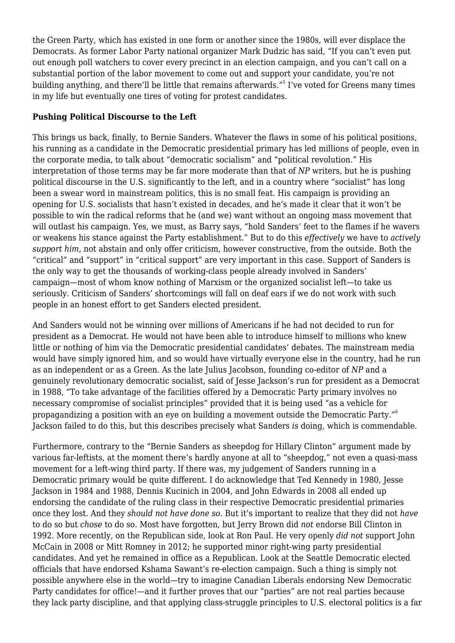the Green Party, which has existed in one form or another since the 1980s, will ever displace the Democrats. As former Labor Party national organizer Mark Dudzic has said, "If you can't even put out enough poll watchers to cover every precinct in an election campaign, and you can't call on a substantial portion of the labor movement to come out and support your candidate, you're not building anything, and there'll be little that remains afterwards."<sup>5</sup> I've voted for Greens many times in my life but eventually one tires of voting for protest candidates.

### **Pushing Political Discourse to the Left**

This brings us back, finally, to Bernie Sanders. Whatever the flaws in some of his political positions, his running as a candidate in the Democratic presidential primary has led millions of people, even in the corporate media, to talk about "democratic socialism" and "political revolution." His interpretation of those terms may be far more moderate than that of *NP* writers, but he is pushing political discourse in the U.S. significantly to the left, and in a country where "socialist" has long been a swear word in mainstream politics, this is no small feat. His campaign is providing an opening for U.S. socialists that hasn't existed in decades, and he's made it clear that it won't be possible to win the radical reforms that he (and we) want without an ongoing mass movement that will outlast his campaign. Yes, we must, as Barry says, "hold Sanders' feet to the flames if he wavers or weakens his stance against the Party establishment." But to do this *effectively* we have to *actively support him*, not abstain and only offer criticism, however constructive, from the outside. Both the "critical" and "support" in "critical support" are very important in this case. Support of Sanders is the only way to get the thousands of working-class people already involved in Sanders' campaign—most of whom know nothing of Marxism or the organized socialist left—to take us seriously. Criticism of Sanders' shortcomings will fall on deaf ears if we do not work with such people in an honest effort to get Sanders elected president.

And Sanders would not be winning over millions of Americans if he had not decided to run for president as a Democrat. He would not have been able to introduce himself to millions who knew little or nothing of him via the Democratic presidential candidates' debates. The mainstream media would have simply ignored him, and so would have virtually everyone else in the country, had he run as an independent or as a Green. As the late Julius Jacobson, founding co-editor of *NP* and a genuinely revolutionary democratic socialist, said of Jesse Jackson's run for president as a Democrat in 1988, "To take advantage of the facilities offered by a Democratic Party primary involves no necessary compromise of socialist principles" provided that it is being used "as a vehicle for propagandizing a position with an eye on building a movement outside the Democratic Party."<sup>6</sup> Jackson failed to do this, but this describes precisely what Sanders *is* doing, which is commendable.

Furthermore, contrary to the "Bernie Sanders as sheepdog for Hillary Clinton" argument made by various far-leftists, at the moment there's hardly anyone at all to "sheepdog," not even a quasi-mass movement for a left-wing third party. If there was, my judgement of Sanders running in a Democratic primary would be quite different. I do acknowledge that Ted Kennedy in 1980, Jesse Jackson in 1984 and 1988, Dennis Kucinich in 2004, and John Edwards in 2008 all ended up endorsing the candidate of the ruling class in their respective Democratic presidential primaries once they lost. And they *should not have done so*. But it's important to realize that they did not *have* to do so but *chose* to do so. Most have forgotten, but Jerry Brown did *not* endorse Bill Clinton in 1992. More recently, on the Republican side, look at Ron Paul. He very openly *did not* support John McCain in 2008 or Mitt Romney in 2012; he supported minor right-wing party presidential candidates. And yet he remained in office as a Republican. Look at the Seattle Democratic elected officials that have endorsed Kshama Sawant's re-election campaign. Such a thing is simply not possible anywhere else in the world—try to imagine Canadian Liberals endorsing New Democratic Party candidates for office!—and it further proves that our "parties" are not real parties because they lack party discipline, and that applying class-struggle principles to U.S. electoral politics is a far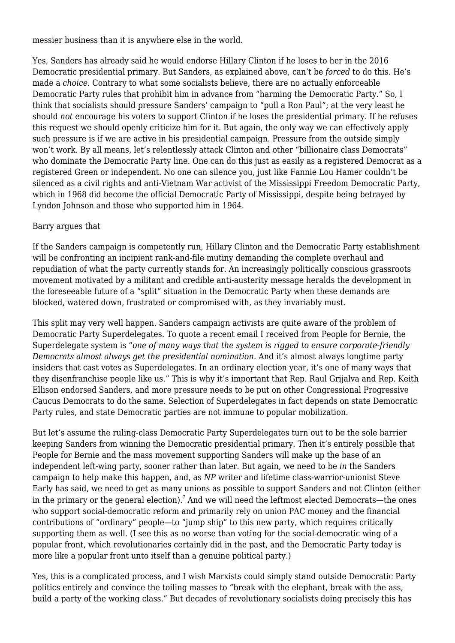messier business than it is anywhere else in the world.

Yes, Sanders has already said he would endorse Hillary Clinton if he loses to her in the 2016 Democratic presidential primary. But Sanders, as explained above, can't be *forced* to do this. He's made a *choice*. Contrary to what some socialists believe, there are no actually enforceable Democratic Party rules that prohibit him in advance from "harming the Democratic Party." So, I think that socialists should pressure Sanders' campaign to "pull a Ron Paul"; at the very least he should *not* encourage his voters to support Clinton if he loses the presidential primary. If he refuses this request we should openly criticize him for it. But again, the only way we can effectively apply such pressure is if we are active in his presidential campaign. Pressure from the outside simply won't work. By all means, let's relentlessly attack Clinton and other "billionaire class Democrats" who dominate the Democratic Party line. One can do this just as easily as a registered Democrat as a registered Green or independent. No one can silence you, just like Fannie Lou Hamer couldn't be silenced as a civil rights and anti-Vietnam War activist of the Mississippi Freedom Democratic Party, which in 1968 did become the official Democratic Party of Mississippi, despite being betrayed by Lyndon Johnson and those who supported him in 1964.

#### Barry argues that

If the Sanders campaign is competently run, Hillary Clinton and the Democratic Party establishment will be confronting an incipient rank-and-file mutiny demanding the complete overhaul and repudiation of what the party currently stands for. An increasingly politically conscious grassroots movement motivated by a militant and credible anti-austerity message heralds the development in the foreseeable future of a "split" situation in the Democratic Party when these demands are blocked, watered down, frustrated or compromised with, as they invariably must.

This split may very well happen. Sanders campaign activists are quite aware of the problem of Democratic Party Superdelegates. To quote a recent email I received from People for Bernie, the Superdelegate system is "*one of many ways that the system is rigged to ensure corporate-friendly Democrats almost always get the presidential nomination.* And it's almost always longtime party insiders that cast votes as Superdelegates. In an ordinary election year, it's one of many ways that they disenfranchise people like us." This is why it's important that Rep. Raul Grijalva and Rep. Keith Ellison endorsed Sanders, and more pressure needs to be put on other Congressional Progressive Caucus Democrats to do the same. Selection of Superdelegates in fact depends on state Democratic Party rules, and state Democratic parties are not immune to popular mobilization.

But let's assume the ruling-class Democratic Party Superdelegates turn out to be the sole barrier keeping Sanders from winning the Democratic presidential primary. Then it's entirely possible that People for Bernie and the mass movement supporting Sanders will make up the base of an independent left-wing party, sooner rather than later. But again, we need to be *in* the Sanders campaign to help make this happen, and, as *NP* writer and lifetime class-warrior-unionist Steve Early has said, we need to get as many unions as possible to support Sanders and not Clinton (either in the primary or the general election). $^7$  And we will need the leftmost elected Democrats—the ones who support social-democratic reform and primarily rely on union PAC money and the financial contributions of "ordinary" people—to "jump ship" to this new party, which requires critically supporting them as well. (I see this as no worse than voting for the social-democratic wing of a popular front, which revolutionaries certainly did in the past, and the Democratic Party today is more like a popular front unto itself than a genuine political party.)

Yes, this is a complicated process, and I wish Marxists could simply stand outside Democratic Party politics entirely and convince the toiling masses to "break with the elephant, break with the ass, build a party of the working class." But decades of revolutionary socialists doing precisely this has